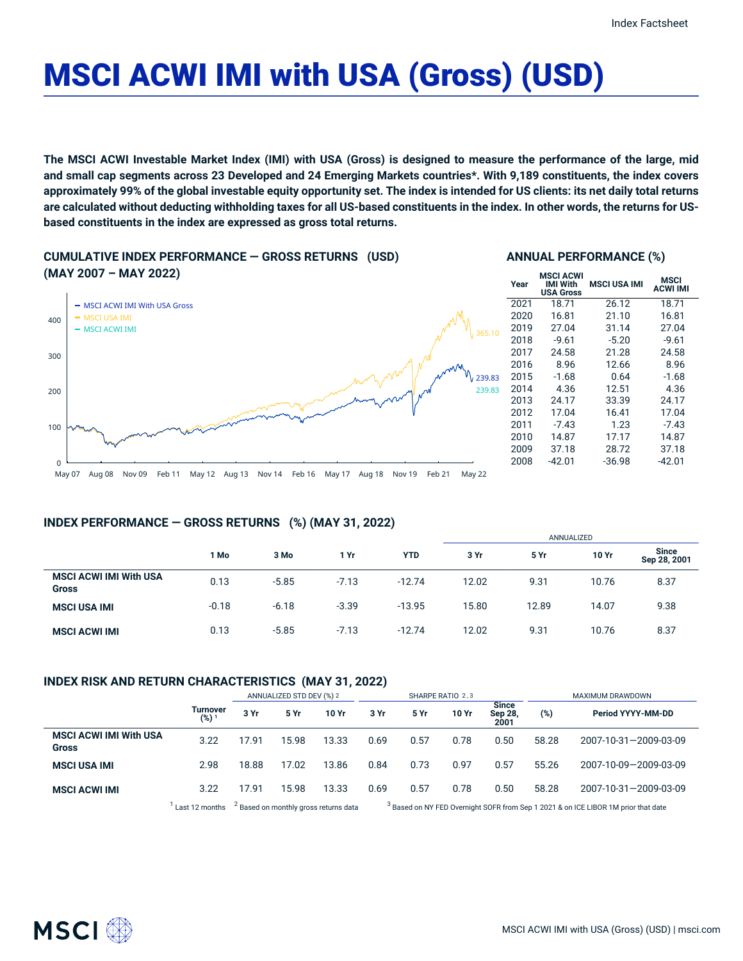# MSCI ACWI IMI with USA (Gross) (USD)

The MSCI ACWI Investable Market Index (IMI) with USA (Gross) is designed to measure the performance of the large, mid and small cap segments across 23 Developed and 24 Emerging Markets countries\*. With 9,189 constituents, the index covers approximately 99% of the global investable equity opportunity set. The index is intended for US clients: its net daily total returns are calculated without deducting withholding taxes for all US-based constituents in the index. In other words, the returns for US**based constituents in the index are expressed as gross total returns.**

**CUMULATIVE INDEX PERFORMANCE — GROSS RETURNS (USD) (MAY 2007 – MAY 2022)**



#### **ANNUAL PERFORMANCE (%)**

| Year | <b>MSCI ACWI</b><br>IMI With<br><b>USA Gross</b> | MSCI USA IMI | MSCI<br><b>ACWI IMI</b> |  |
|------|--------------------------------------------------|--------------|-------------------------|--|
| 2021 | 18.71                                            | 26.12        | 18.71                   |  |
| 2020 | 16.81                                            | 21.10        | 16.81                   |  |
| 2019 | 27.04                                            | 31.14        | 27.04                   |  |
| 2018 | $-9.61$                                          | $-5.20$      | $-9.61$                 |  |
| 2017 | 24.58                                            | 21.28        | 24.58                   |  |
| 2016 | 8.96                                             | 12.66        | 8.96                    |  |
| 2015 | $-1.68$                                          | 0.64         | $-1.68$                 |  |
| 2014 | 4.36                                             | 12.51        | 4.36                    |  |
| 2013 | 24.17                                            | 33.39        | 24.17                   |  |
| 2012 | 17.04                                            | 16.41        | 17.04                   |  |
| 2011 | $-7.43$                                          | 1.23         | $-7.43$                 |  |
| 2010 | 14.87                                            | 17.17        | 14.87                   |  |
| 2009 | 37.18                                            | 28.72        | 37.18                   |  |
| 2008 | -42.01                                           | $-36.98$     | -42.01                  |  |

## **INDEX PERFORMANCE — GROSS RETURNS (%) (MAY 31, 2022)**

|                                               |         |         |         |            | ANNUALIZED |       |       |                              |  |
|-----------------------------------------------|---------|---------|---------|------------|------------|-------|-------|------------------------------|--|
|                                               | 1 Mo    | 3 Mo    | 1 Yr    | <b>YTD</b> | 3 Yr       | 5 Yr  | 10 Yr | <b>Since</b><br>Sep 28, 2001 |  |
| <b>MSCI ACWI IMI With USA</b><br><b>Gross</b> | 0.13    | $-5.85$ | $-7.13$ | $-12.74$   | 12.02      | 9.31  | 10.76 | 8.37                         |  |
| <b>MSCI USA IMI</b>                           | $-0.18$ | $-6.18$ | $-3.39$ | $-13.95$   | 15.80      | 12.89 | 14.07 | 9.38                         |  |
| <b>MSCI ACWI IMI</b>                          | 0.13    | $-5.85$ | $-7.13$ | $-12.74$   | 12.02      | 9.31  | 10.76 | 8.37                         |  |

# **INDEX RISK AND RETURN CHARACTERISTICS (MAY 31, 2022)**

|                                               |                 | ANNUALIZED STD DEV (%) 2                         |       |       | SHARPE RATIO 2,3 |      |       |                                 | MAXIMUM DRAWDOWN                                                                              |                       |
|-----------------------------------------------|-----------------|--------------------------------------------------|-------|-------|------------------|------|-------|---------------------------------|-----------------------------------------------------------------------------------------------|-----------------------|
|                                               | Turnover<br>(%) | 3 Yr                                             | 5 Yr  | 10 Yr | 3 Yr             | 5 Yr | 10 Yr | <b>Since</b><br>Sep 28,<br>2001 | $(\%)$                                                                                        | Period YYYY-MM-DD     |
| <b>MSCI ACWI IMI With USA</b><br><b>Gross</b> | 3.22            | 17.91                                            | 15.98 | 13.33 | 0.69             | 0.57 | 0.78  | 0.50                            | 58.28                                                                                         | 2007-10-31-2009-03-09 |
| <b>MSCI USA IMI</b>                           | 2.98            | 18.88                                            | 17.02 | 13.86 | 0.84             | 0.73 | 0.97  | 0.57                            | 55.26                                                                                         | 2007-10-09-2009-03-09 |
| <b>MSCI ACWI IMI</b>                          | 3.22            | 17.91                                            | 15.98 | 13.33 | 0.69             | 0.57 | 0.78  | 0.50                            | 58.28                                                                                         | 2007-10-31-2009-03-09 |
|                                               | Last 12 months  | <sup>2</sup> Based on monthly gross returns data |       |       |                  |      |       |                                 | <sup>3</sup> Based on NY FED Overnight SOFR from Sep 1 2021 & on ICE LIBOR 1M prior that date |                       |

 $<sup>2</sup>$  Based on monthly gross returns data</sup> Based on NY FED Overnight SOFR from Sep 1 2021 & on ICE LIBOR 1M prior that date

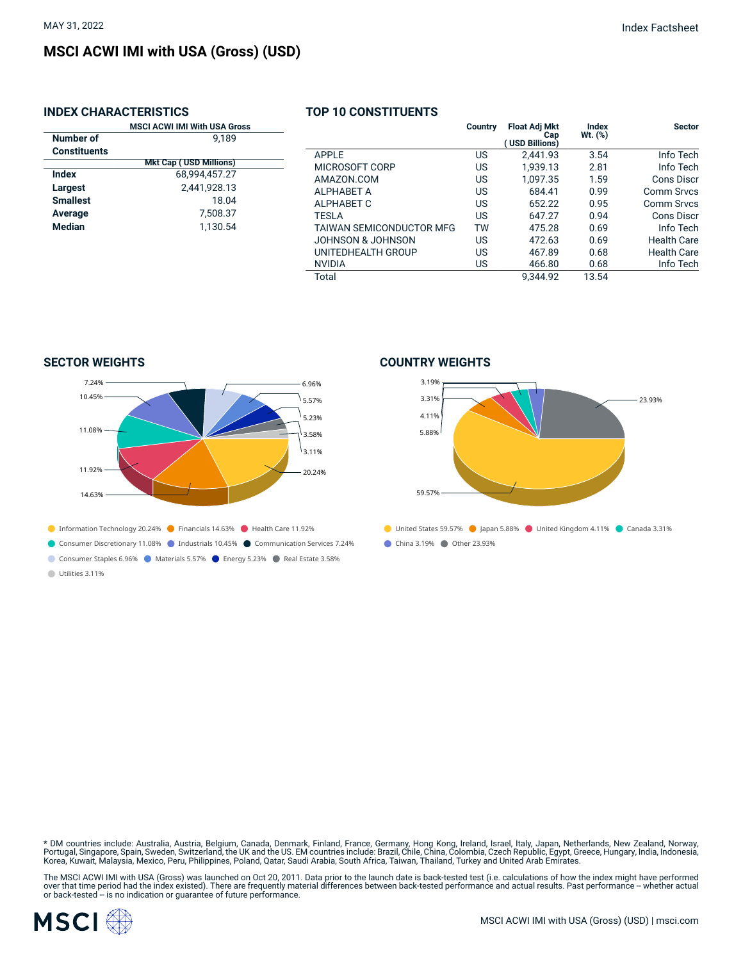## **INDEX CHARACTERISTICS**

|                     | <b>MSCI ACWI IMI With USA Gross</b> |  |  |  |  |  |
|---------------------|-------------------------------------|--|--|--|--|--|
| <b>Number of</b>    | 9.189                               |  |  |  |  |  |
| <b>Constituents</b> |                                     |  |  |  |  |  |
|                     | <b>Mkt Cap (USD Millions)</b>       |  |  |  |  |  |
| Index               | 68.994.457.27                       |  |  |  |  |  |
| Largest             | 2,441,928.13                        |  |  |  |  |  |
| <b>Smallest</b>     | 18.04                               |  |  |  |  |  |
| Average             | 7,508.37                            |  |  |  |  |  |
| Median              | 1.130.54                            |  |  |  |  |  |
|                     |                                     |  |  |  |  |  |
|                     |                                     |  |  |  |  |  |

#### **TOP 10 CONSTITUENTS**

|                          | Country | <b>Float Adj Mkt</b><br>Cap<br>(USD Billions) | Index<br>$Wt.$ $(\%)$ | <b>Sector</b>      |
|--------------------------|---------|-----------------------------------------------|-----------------------|--------------------|
| APPLE                    | US      | 2.441.93                                      | 3.54                  | Info Tech          |
| MICROSOFT CORP           | US      | 1.939.13                                      | 2.81                  | Info Tech          |
| AMAZON.COM               | US      | 1.097.35                                      | 1.59                  | Cons Discr         |
| ALPHABET A               | US      | 684.41                                        | 0.99                  | Comm Srvcs         |
| ALPHABET C               | US      | 652.22                                        | 0.95                  | Comm Srvcs         |
| TESLA                    | US      | 647.27                                        | 0.94                  | Cons Discr         |
| TAIWAN SEMICONDUCTOR MFG | TW      | 475.28                                        | 0.69                  | Info Tech          |
| JOHNSON & JOHNSON        | US      | 472.63                                        | 0.69                  | <b>Health Care</b> |
| UNITEDHEALTH GROUP       | US      | 467.89                                        | 0.68                  | <b>Health Care</b> |
| NVIDIA                   | US      | 466.80                                        | 0.68                  | Info Tech          |
| Total                    |         | 9.344.92                                      | 13.54                 |                    |

**SECTOR WEIGHTS**



Consumer Staples 6.96% Materials 5.57% P Energy 5.23% P Real Estate 3.58% Utilities 3.11%

**COUNTRY WEIGHTS**



\* DM countries include: Australia, Austria, Belgium, Canada, Denmark, Finland, France, Germany, Hong Kong, Ireland, Israel, Italy, Japan, Netherlands, New Zealand, Norway,<br>Portugal, Singapore, Spain, Sweden, Switzerland, t

The MSCI ACWI IMI with USA (Gross) was launched on Oct 20, 2011. Data prior to the launch date is back-tested test (i.e. calculations of how the index might have performed<br>over that time period had the index existed). Ther